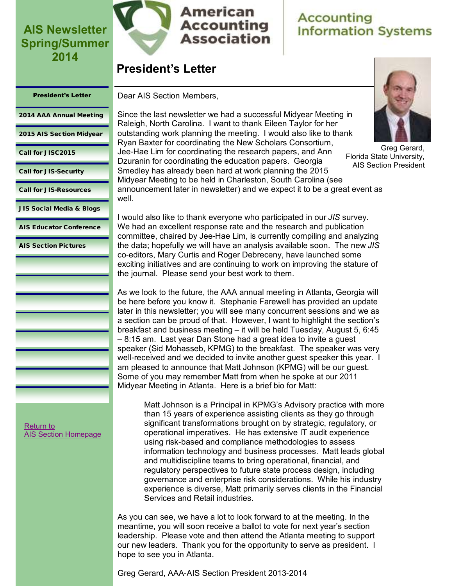

### American **Accounting Association**

# **Accounting Information Systems**

### **President's Letter**

#### <span id="page-0-0"></span>President's Letter

Dear AIS Section Members,

[2014 AAA Annual Meeting](#page-1-0)

[2015 AIS Section Midyear](#page-2-0)

[Call for JISC2015](#page-3-0)

[Call for JIS-Security](#page-4-0)

[Call for JIS-Resources](#page-5-0)

[JIS Social Media & Blogs](#page-6-0)

[AIS Educator Conference](#page-8-0)

[AIS Section Pictures](#page-9-0)

Since the last newsletter we had a successful Midyear Meeting in Raleigh, North Carolina. I want to thank Eileen Taylor for her outstanding work planning the meeting. I would also like to thank Ryan Baxter for coordinating the New Scholars Consortium, Jee-Hae Lim for coordinating the research papers, and Ann Dzuranin for coordinating the education papers. Georgia Smedley has already been hard at work planning the 2015 Midyear Meeting to be held in Charleston, South Carolina (see announcement later in newsletter) and we expect it to be a great event as well.

I would also like to thank everyone who participated in our *JIS* survey. We had an excellent response rate and the research and publication committee, chaired by Jee-Hae Lim, is currently compiling and analyzing the data; hopefully we will have an analysis available soon. The new *JIS* co-editors, Mary Curtis and Roger Debreceny, have launched some exciting initiatives and are continuing to work on improving the stature of the journal. Please send your best work to them.

As we look to the future, the AAA annual meeting in Atlanta, Georgia will be here before you know it. Stephanie Farewell has provided an update later in this newsletter; you will see many concurrent sessions and we as a section can be proud of that. However, I want to highlight the section's breakfast and business meeting – it will be held Tuesday, August 5, 6:45 – 8:15 am. Last year Dan Stone had a great idea to invite a guest speaker (Sid Mohasseb, KPMG) to the breakfast. The speaker was very well-received and we decided to invite another guest speaker this year. I am pleased to announce that Matt Johnson (KPMG) will be our guest. Some of you may remember Matt from when he spoke at our 2011 Midyear Meeting in Atlanta. Here is a brief bio for Matt:

Matt Johnson is a Principal in KPMG's Advisory practice with more than 15 years of experience assisting clients as they go through significant transformations brought on by strategic, regulatory, or operational imperatives. He has extensive IT audit experience using risk-based and compliance methodologies to assess information technology and business processes. Matt leads global and multidiscipline teams to bring operational, financial, and regulatory perspectives to future state process design, including governance and enterprise risk considerations. While his industry experience is diverse, Matt primarily serves clients in the Financial Services and Retail industries.

As you can see, we have a lot to look forward to at the meeting. In the meantime, you will soon receive a ballot to vote for next year's section leadership. Please vote and then attend the Atlanta meeting to support our new leaders. Thank you for the opportunity to serve as president. I hope to see you in Atlanta.

Greg Gerard, AAA-AIS Section President 2013-2014



Greg Gerard, Florida State University, AIS Section President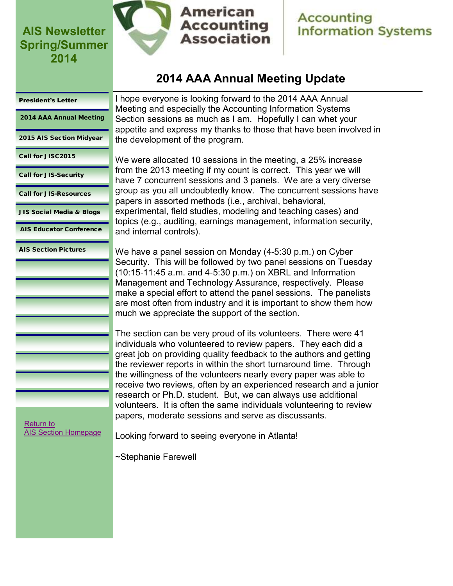

**American Accounting Association** 

I hope everyone is looking forward to the 2014 AAA Annual Meeting and especially the Accounting Information Systems Section sessions as much as I am. Hopefully I can whet your

### **Accounting Information Systems**

# **2014 AAA Annual Meeting Update**

#### <span id="page-1-0"></span>[President's Letter](#page-0-0)

2014 AAA Annual Meeting

[2015 AIS Section Midyear](#page-2-0)

[Call for JISC2015](#page-3-0)

[Call for JIS-Security](#page-4-0)

[Call for JIS-Resources](#page-5-0)

[JIS Social Media & Blogs](#page-6-0)

[AIS Educator Conference](#page-8-0)

[AIS Section Pictures](#page-9-0)

the development of the program. We were allocated 10 sessions in the meeting, a 25% increase from the 2013 meeting if my count is correct. This year we will have 7 concurrent sessions and 3 panels. We are a very diverse group as you all undoubtedly know. The concurrent sessions have papers in assorted methods (i.e., archival, behavioral, experimental, field studies, modeling and teaching cases) and topics (e.g., auditing, earnings management, information security, and internal controls).

appetite and express my thanks to those that have been involved in

We have a panel session on Monday (4-5:30 p.m.) on Cyber Security. This will be followed by two panel sessions on Tuesday (10:15-11:45 a.m. and 4-5:30 p.m.) on XBRL and Information Management and Technology Assurance, respectively. Please make a special effort to attend the panel sessions. The panelists are most often from industry and it is important to show them how much we appreciate the support of the section.

The section can be very proud of its volunteers. There were 41 individuals who volunteered to review papers. They each did a great job on providing quality feedback to the authors and getting the reviewer reports in within the short turnaround time. Through the willingness of the volunteers nearly every paper was able to receive two reviews, often by an experienced research and a junior research or Ph.D. student. But, we can always use additional volunteers. It is often the same individuals volunteering to review papers, moderate sessions and serve as discussants.

[Return to](http://aaahq.org/infosys/index.html)  [AIS Section Homepage](http://aaahq.org/infosys/index.html)

Looking forward to seeing everyone in Atlanta!

~Stephanie Farewell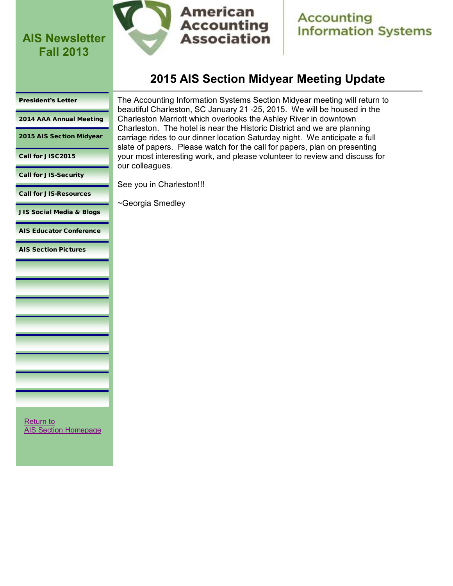<span id="page-2-0"></span>**AIS Newsletter Fall 2013**



**American Accounting Association** 

**Accounting Information Systems** 

### **2015 AIS Section Midyear Meeting Update**

#### [President's Letter](#page-0-0)

[2014 AAA Annual Meeting](#page-1-0)

2015 AIS Section Midyear

[Call for JISC2015](#page-3-0)

[Call for JIS-Security](#page-4-0)

[Call for JIS-Resources](#page-5-0)

[JIS Social Media & Blogs](#page-6-0)

[AIS Educator Conference](#page-8-0)

[AIS Section Pictures](#page-9-0)

The Accounting Information Systems Section Midyear meeting will return to beautiful Charleston, SC January 21 -25, 2015. We will be housed in the Charleston Marriott which overlooks the Ashley River in downtown Charleston. The hotel is near the Historic District and we are planning carriage rides to our dinner location Saturday night. We anticipate a full slate of papers. Please watch for the call for papers, plan on presenting your most interesting work, and please volunteer to review and discuss for our colleagues.

See you in Charleston!!!

~Georgia Smedley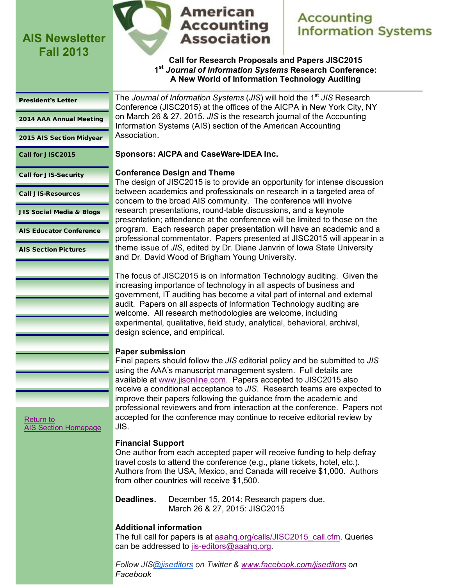<span id="page-3-0"></span>**AIS Newsletter Fall 2013**



### **American Accounting Association**

# **Accounting Information Systems**

**Call for Research Proposals and Papers JISC2015 1 st** *Journal of Information Systems* **Research Conference: A New World of Information Technology Auditing**

#### [President's Letter](#page-0-0)

[2014 AAA Annual Meeting](#page-1-0)

[2015 AIS Section Midyear](#page-2-0)

Call for JISC2015

[Call for JIS-Security](#page-4-0)

[Call JIS-Resources](#page-5-0)

[JIS Social Media & Blogs](#page-6-0)

[AIS Educator Conference](#page-8-0)

[AIS Section Pictures](#page-9-0)

[Return to](http://aaahq.org/infosys/index.html) 

[AIS Section Homepage](http://aaahq.org/infosys/index.html)

The *Journal of Information Systems* (*JIS*) will hold the  $1<sup>st</sup> JIS$  Research Conference (JISC2015) at the offices of the AICPA in New York City, NY on March 26 & 27, 2015. *JIS* is the research journal of the Accounting Information Systems (AIS) section of the American Accounting Association.

### **Sponsors: AICPA and CaseWare-IDEA Inc.**

### **Conference Design and Theme**

The design of JISC2015 is to provide an opportunity for intense discussion between academics and professionals on research in a targeted area of concern to the broad AIS community. The conference will involve research presentations, round-table discussions, and a keynote presentation; attendance at the conference will be limited to those on the program. Each research paper presentation will have an academic and a professional commentator. Papers presented at JISC2015 will appear in a theme issue of *JIS*, edited by Dr. Diane Janvrin of Iowa State University and Dr. David Wood of Brigham Young University.

The focus of JISC2015 is on Information Technology auditing. Given the increasing importance of technology in all aspects of business and government, IT auditing has become a vital part of internal and external audit. Papers on all aspects of Information Technology auditing are welcome. All research methodologies are welcome, including experimental, qualitative, field study, analytical, behavioral, archival, design science, and empirical.

### **Paper submission**

Final papers should follow the *JIS* editorial policy and be submitted to *JIS* using the AAA's manuscript management system. Full details are available at [www.jisonline.com.](http://www.jisonline.com) Papers accepted to JISC2015 also receive a conditional acceptance to *JIS*. Research teams are expected to improve their papers following the guidance from the academic and professional reviewers and from interaction at the conference. Papers not accepted for the conference may continue to receive editorial review by JIS.

**Financial Support**

One author from each accepted paper will receive funding to help defray travel costs to attend the conference (e.g., plane tickets, hotel, etc.). Authors from the USA, Mexico, and Canada will receive \$1,000. Authors from other countries will receive \$1,500.

**Deadlines.** December 15, 2014: Research papers due. March 26 & 27, 2015: JISC2015

### **Additional information**

The full call for papers is at [aaahq.org/calls/JISC2015\\_call.cfm.](http://aaahq.org/calls/JISC2015_call.cfm) Queries can be addressed to [jis-editors@aaahq.org.](mailto:jis-editors@aaahq.org) 

*Follow JIS[@jiseditors](http://www.twitter.com/jiseditors) on Twitter & [www.facebook.com/jiseditors](http://www.facebook.com/jiseditors) on Facebook*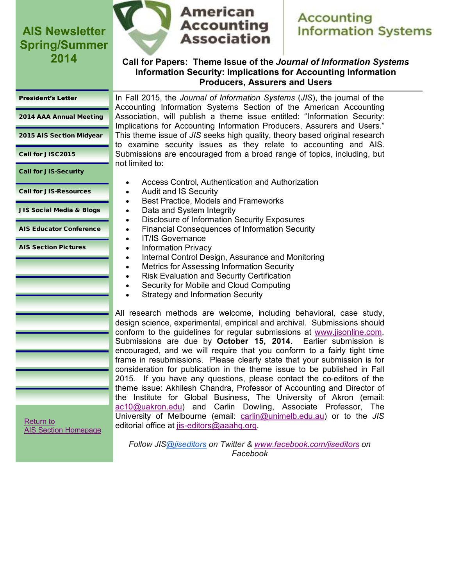

# **American Accounting Association**

# **Accounting Information Systems**

### **Call for Papers: Theme Issue of the** *Journal of Information Systems* **Information Security: Implications for Accounting Information Producers, Assurers and Users**

#### <span id="page-4-0"></span>[President's Letter](#page-0-0)

[2014 AAA Annual Meeting](#page-1-0)

[2015 AIS Section Midyear](#page-2-0)

[Call for JISC2015](#page-3-0)

Call for JIS-Security

[Call for JIS-Resources](#page-5-0)

[JIS Social Media & Blogs](#page-6-0)

[AIS Educator Conference](#page-8-0)

[AIS Section Pictures](#page-9-0)

In Fall 2015, the *Journal of Information Systems* (*JIS*), the journal of the Accounting Information Systems Section of the American Accounting Association, will publish a theme issue entitled: "Information Security: Implications for Accounting Information Producers, Assurers and Users." This theme issue of *JIS* seeks high quality, theory based original research to examine security issues as they relate to accounting and AIS. Submissions are encouraged from a broad range of topics, including, but not limited to:

- Access Control, Authentication and Authorization
- Audit and IS Security
	- Best Practice, Models and Frameworks
	- Data and System Integrity
	- Disclosure of Information Security Exposures
	- Financial Consequences of Information Security
- IT/IS Governance
- Information Privacy
- Internal Control Design, Assurance and Monitoring
- Metrics for Assessing Information Security
- Risk Evaluation and Security Certification
- Security for Mobile and Cloud Computing
- Strategy and Information Security

All research methods are welcome, including behavioral, case study, design science, experimental, empirical and archival. Submissions should conform to the guidelines for regular submissions at [www.jisonline.com.](http://www.jisonline.com) Submissions are due by **October 15, 2014**. Earlier submission is encouraged, and we will require that you conform to a fairly tight time frame in resubmissions. Please clearly state that your submission is for consideration for publication in the theme issue to be published in Fall 2015. If you have any questions, please contact the co-editors of the theme issue: Akhilesh Chandra, Professor of Accounting and Director of the Institute for Global Business, The University of Akron (email: [ac10@uakron.edu\)](mailto:ac10@uakron.edu) and Carlin Dowling, Associate Professor, The University of Melbourne (email: [carlin@unimelb.edu.au\)](mailto:carlin@unimelb.edu.au) or to the *JIS* editorial office at [jis-editors@aaahq.org.](mailto:jis-editors@aaahq.org)

[Return to](http://aaahq.org/infosys/index.html)  [AIS Section Homepage](http://aaahq.org/infosys/index.html)

> *Follow JIS[@jiseditors](http://www.twitter.com/jiseditors) on Twitter & [www.facebook.com/jiseditors](http://www.facebook.com/jiseditors) on Facebook*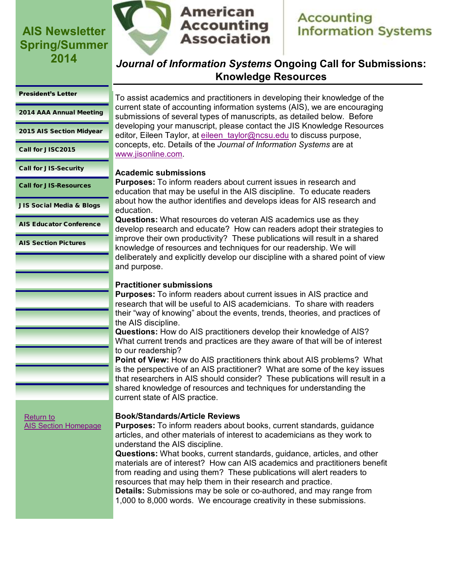

# **Accounting Information Systems**

### *Journal of Information Systems* **Ongoing Call for Submissions: Knowledge Resources**

#### <span id="page-5-0"></span>[President's Letter](#page-0-0)

[2014 AAA Annual Meeting](#page-1-0)

[2015 AIS Section Midyear](#page-2-0)

[Call for JISC2015](#page-3-0)

[Call for JIS-Security](#page-4-0)

Call for JIS-Resources

[JIS Social Media & Blogs](#page-6-0)

[AIS Educator Conference](#page-8-0)

[AIS Section Pictures](#page-9-0)

[Return to](http://aaahq.org/infosys/index.html) 

[AIS Section Homepage](http://aaahq.org/infosys/index.html)

To assist academics and practitioners in developing their knowledge of the current state of accounting information systems (AIS), we are encouraging submissions of several types of manuscripts, as detailed below. Before developing your manuscript, please contact the JIS Knowledge Resources editor, Eileen Taylor, at eileen taylor@ncsu.edu to discuss purpose, concepts, etc. Details of the *Journal of Information Systems* are at [www.jisonline.com.](http://www.jisonline.com)

### **Academic submissions**

**Purposes:** To inform readers about current issues in research and education that may be useful in the AIS discipline. To educate readers about how the author identifies and develops ideas for AIS research and education.

**Questions:** What resources do veteran AIS academics use as they develop research and educate? How can readers adopt their strategies to improve their own productivity? These publications will result in a shared knowledge of resources and techniques for our readership. We will deliberately and explicitly develop our discipline with a shared point of view and purpose.

### **Practitioner submissions**

**Purposes:** To inform readers about current issues in AIS practice and research that will be useful to AIS academicians. To share with readers their "way of knowing" about the events, trends, theories, and practices of the AIS discipline.

**Questions:** How do AIS practitioners develop their knowledge of AIS? What current trends and practices are they aware of that will be of interest to our readership?

**Point of View:** How do AIS practitioners think about AIS problems? What is the perspective of an AIS practitioner? What are some of the key issues that researchers in AIS should consider? These publications will result in a shared knowledge of resources and techniques for understanding the current state of AIS practice.

### **Book/Standards/Article Reviews**

**Purposes:** To inform readers about books, current standards, guidance articles, and other materials of interest to academicians as they work to understand the AIS discipline.

**Questions:** What books, current standards, guidance, articles, and other materials are of interest? How can AIS academics and practitioners benefit from reading and using them? These publications will alert readers to resources that may help them in their research and practice.

**Details:** Submissions may be sole or co-authored, and may range from 1,000 to 8,000 words. We encourage creativity in these submissions.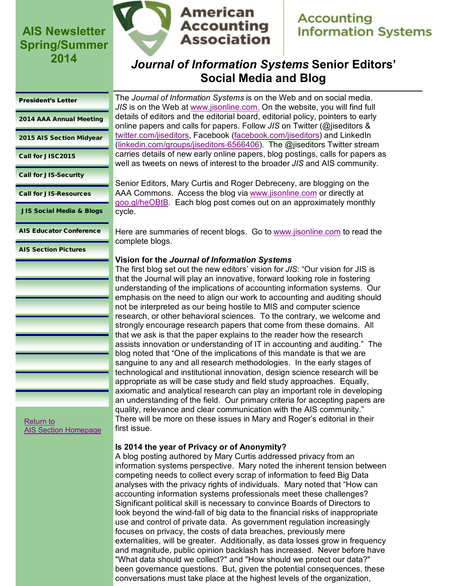

# **Accounting Information Systems**

### *Journal of Information Systems* **Senior Editors' Social Media and Blog**

#### <span id="page-6-0"></span>[President's Letter](#page-0-0)

[2014 AAA Annual Meeting](#page-1-0)

[2015 AIS Section Midyear](#page-2-0)

[Call for JISC2015](#page-3-0)

[Call for JIS-Security](#page-4-0)

[Call for JIS-Resources](#page-5-0)

JIS Social Media & Blogs

[AIS Educator Conference](#page-8-0)

[AIS Section Pictures](#page-9-0)

The *Journal of Information Systems* is on the Web and on social media. *JIS* is on the Web at [www.jisonline.com.](http://www.jisonline.com) On the website, you will find full details of editors and the editorial board, editorial policy, pointers to early online papers and calls for papers. Follow *JIS* on Twitter (@jiseditors & [twitter.com/jiseditors,](http://twitter.com/jiseditors) Facebook ([facebook.com/jiseditors\)](http://facebook.com/jiseditors) and LinkedIn ([linkedin.com/groups/jiseditors-6566406\)](http://www.linkedin.com/groups/jiseditors-6566406). The @jiseditors Twitter stream carries details of new early online papers, blog postings, calls for papers as well as tweets on news of interest to the broader *JIS* and AIS community.

Senior Editors, Mary Curtis and Roger Debreceny, are blogging on the AAA Commons. Access the blog via [www.jisonline.com](http://www.jisonline.com) or directly at [goo.gl/heOBtB.](http://goo.gl/heOBtB) Each blog post comes out on an approximately monthly cycle.

Here are summaries of recent blogs. Go to [www.jisonline.com](http://www.jisonline.com) to read the complete blogs.

### **Vision for the** *Journal of Information Systems*

The first blog set out the new editors' vision for *JIS*: "Our vision for JIS is that the Journal will play an innovative, forward looking role in fostering understanding of the implications of accounting information systems. Our emphasis on the need to align our work to accounting and auditing should not be interpreted as our being hostile to MIS and computer science research, or other behavioral sciences. To the contrary, we welcome and strongly encourage research papers that come from these domains. All that we ask is that the paper explains to the reader how the research assists innovation or understanding of IT in accounting and auditing." The blog noted that "One of the implications of this mandate is that we are sanguine to any and all research methodologies. In the early stages of technological and institutional innovation, design science research will be appropriate as will be case study and field study approaches. Equally, axiomatic and analytical research can play an important role in developing an understanding of the field. Our primary criteria for accepting papers are quality, relevance and clear communication with the AIS community." There will be more on these issues in Mary and Roger's editorial in their first issue.

### **Is 2014 the year of Privacy or of Anonymity?**

A blog posting authored by Mary Curtis addressed privacy from an information systems perspective. Mary noted the inherent tension between competing needs to collect every scrap of information to feed Big Data analyses with the privacy rights of individuals. Mary noted that "How can accounting information systems professionals meet these challenges? Significant political skill is necessary to convince Boards of Directors to look beyond the wind-fall of big data to the financial risks of inappropriate use and control of private data. As government regulation increasingly focuses on privacy, the costs of data breaches, previously mere externalities, will be greater. Additionally, as data losses grow in frequency and magnitude, public opinion backlash has increased. Never before have "What data should we collect?" and "How should we protect our data?" been governance questions. But, given the potential consequences, these conversations must take place at the highest levels of the organization,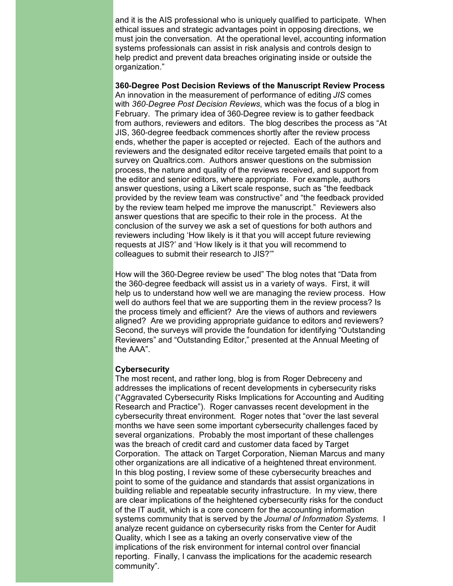and it is the AIS professional who is uniquely qualified to participate. When ethical issues and strategic advantages point in opposing directions, we must join the conversation. At the operational level, accounting information systems professionals can assist in risk analysis and controls design to help predict and prevent data breaches originating inside or outside the organization."

#### **360-Degree Post Decision Reviews of the Manuscript Review Process**

An innovation in the measurement of performance of editing *JIS* comes with *360-Degree Post Decision Reviews*, which was the focus of a blog in February. The primary idea of 360-Degree review is to gather feedback from authors, reviewers and editors. The blog describes the process as "At JIS, 360-degree feedback commences shortly after the review process ends, whether the paper is accepted or rejected. Each of the authors and reviewers and the designated editor receive targeted emails that point to a survey on Qualtrics.com. Authors answer questions on the submission process, the nature and quality of the reviews received, and support from the editor and senior editors, where appropriate. For example, authors answer questions, using a Likert scale response, such as "the feedback provided by the review team was constructive" and "the feedback provided by the review team helped me improve the manuscript." Reviewers also answer questions that are specific to their role in the process. At the conclusion of the survey we ask a set of questions for both authors and reviewers including 'How likely is it that you will accept future reviewing requests at JIS?' and 'How likely is it that you will recommend to colleagues to submit their research to JIS?'"

How will the 360-Degree review be used" The blog notes that "Data from the 360-degree feedback will assist us in a variety of ways. First, it will help us to understand how well we are managing the review process. How well do authors feel that we are supporting them in the review process? Is the process timely and efficient? Are the views of authors and reviewers aligned? Are we providing appropriate guidance to editors and reviewers? Second, the surveys will provide the foundation for identifying "Outstanding Reviewers" and "Outstanding Editor," presented at the Annual Meeting of the AAA".

#### **Cybersecurity**

The most recent, and rather long, blog is from Roger Debreceny and addresses the implications of recent developments in cybersecurity risks ("Aggravated Cybersecurity Risks Implications for Accounting and Auditing Research and Practice"). Roger canvasses recent development in the cybersecurity threat environment. Roger notes that "over the last several months we have seen some important cybersecurity challenges faced by several organizations. Probably the most important of these challenges was the breach of credit card and customer data faced by Target Corporation. The attack on Target Corporation, Nieman Marcus and many other organizations are all indicative of a heightened threat environment. In this blog posting, I review some of these cybersecurity breaches and point to some of the guidance and standards that assist organizations in building reliable and repeatable security infrastructure. In my view, there are clear implications of the heightened cybersecurity risks for the conduct of the IT audit, which is a core concern for the accounting information systems community that is served by the *Journal of Information Systems*. I analyze recent guidance on cybersecurity risks from the Center for Audit Quality, which I see as a taking an overly conservative view of the implications of the risk environment for internal control over financial reporting. Finally, I canvass the implications for the academic research community".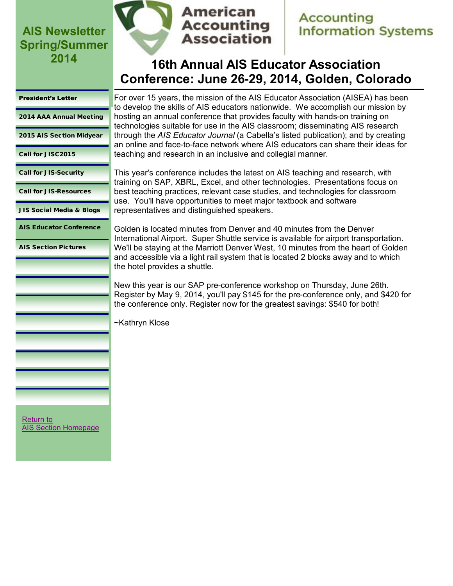

### **Accounting Information Systems**

# **16th Annual AIS Educator Association Conference: June 26-29, 2014, Golden, Colorado**

#### <span id="page-8-0"></span>[President's Letter](#page-0-0)

[2014 AAA Annual Meeting](#page-1-0)

[2015 AIS Section Midyear](#page-2-0)

[Call for JISC2015](#page-3-0)

[Call for JIS-Security](#page-4-0)

[Call for JIS-Resources](#page-5-0)

[JIS Social Media & Blogs](#page-6-0)

AIS Educator Conference

[AIS Section Pictures](#page-9-0)

For over 15 years, the mission of the AIS Educator Association (AISEA) has been to develop the skills of AIS educators nationwide. We accomplish our mission by hosting an annual conference that provides faculty with hands-on training on technologies suitable for use in the AIS classroom; disseminating AIS research through the *AIS Educator Journal* (a Cabella's listed publication); and by creating an online and face-to-face network where AIS educators can share their ideas for teaching and research in an inclusive and collegial manner.

This year's conference includes the latest on AIS teaching and research, with training on SAP, XBRL, Excel, and other technologies. Presentations focus on best teaching practices, relevant case studies, and technologies for classroom use. You'll have opportunities to meet major textbook and software representatives and distinguished speakers.

Golden is located minutes from Denver and 40 minutes from the Denver International Airport. Super Shuttle service is available for airport transportation. We'll be staying at the Marriott Denver West, 10 minutes from the heart of Golden and accessible via a light rail system that is located 2 blocks away and to which the hotel provides a shuttle.

New this year is our SAP pre-conference workshop on Thursday, June 26th. Register by May 9, 2014, you'll pay \$145 for the pre-conference only, and \$420 for the conference only. Register now for the greatest savings: \$540 for both!

~Kathryn Klose